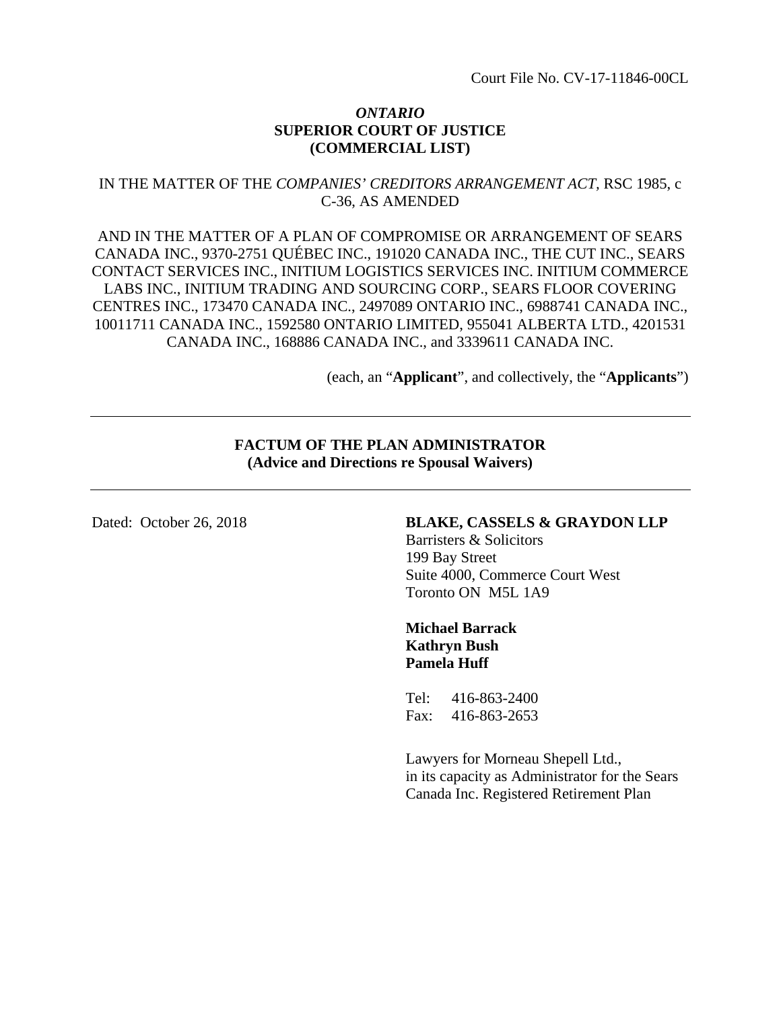### *ONTARIO*  **SUPERIOR COURT OF JUSTICE (COMMERCIAL LIST)**

# IN THE MATTER OF THE *COMPANIES' CREDITORS ARRANGEMENT ACT,* RSC 1985, c C-36, AS AMENDED

AND IN THE MATTER OF A PLAN OF COMPROMISE OR ARRANGEMENT OF SEARS CANADA INC., 9370-2751 QUÉBEC INC., 191020 CANADA INC., THE CUT INC., SEARS CONTACT SERVICES INC., INITIUM LOGISTICS SERVICES INC. INITIUM COMMERCE LABS INC., INITIUM TRADING AND SOURCING CORP., SEARS FLOOR COVERING CENTRES INC., 173470 CANADA INC., 2497089 ONTARIO INC., 6988741 CANADA INC., 10011711 CANADA INC., 1592580 ONTARIO LIMITED, 955041 ALBERTA LTD., 4201531 CANADA INC., 168886 CANADA INC., and 3339611 CANADA INC.

(each, an "**Applicant**", and collectively, the "**Applicants**")

# **FACTUM OF THE PLAN ADMINISTRATOR (Advice and Directions re Spousal Waivers)**

# Dated: October 26, 2018 **BLAKE, CASSELS & GRAYDON LLP**

Barristers & Solicitors 199 Bay Street Suite 4000, Commerce Court West Toronto ON M5L 1A9

### **Michael Barrack Kathryn Bush Pamela Huff**

Tel: 416-863-2400 Fax: 416-863-2653

Lawyers for Morneau Shepell Ltd., in its capacity as Administrator for the Sears Canada Inc. Registered Retirement Plan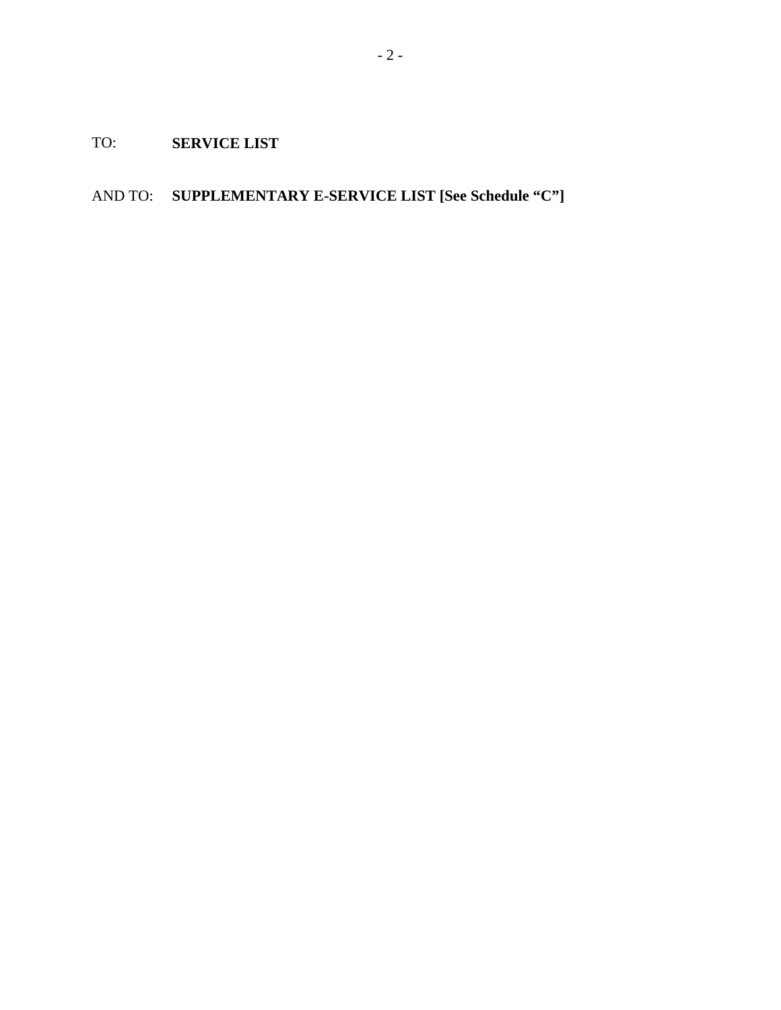TO: **SERVICE LIST** 

AND TO: **SUPPLEMENTARY E-SERVICE LIST [See Schedule "C"]**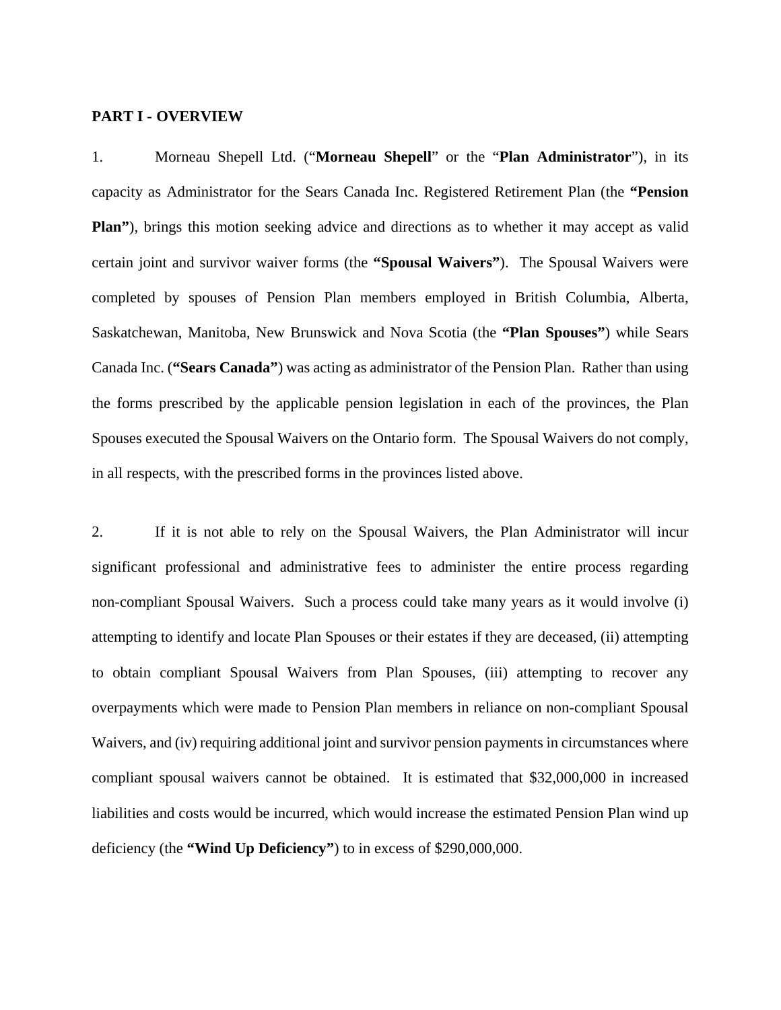#### **PART I - OVERVIEW**

1. Morneau Shepell Ltd. ("**Morneau Shepell**" or the "**Plan Administrator**"), in its capacity as Administrator for the Sears Canada Inc. Registered Retirement Plan (the **"Pension Plan"**), brings this motion seeking advice and directions as to whether it may accept as valid certain joint and survivor waiver forms (the **"Spousal Waivers"**). The Spousal Waivers were completed by spouses of Pension Plan members employed in British Columbia, Alberta, Saskatchewan, Manitoba, New Brunswick and Nova Scotia (the **"Plan Spouses"**) while Sears Canada Inc. (**"Sears Canada"**) was acting as administrator of the Pension Plan. Rather than using the forms prescribed by the applicable pension legislation in each of the provinces, the Plan Spouses executed the Spousal Waivers on the Ontario form. The Spousal Waivers do not comply, in all respects, with the prescribed forms in the provinces listed above.

2. If it is not able to rely on the Spousal Waivers, the Plan Administrator will incur significant professional and administrative fees to administer the entire process regarding non-compliant Spousal Waivers. Such a process could take many years as it would involve (i) attempting to identify and locate Plan Spouses or their estates if they are deceased, (ii) attempting to obtain compliant Spousal Waivers from Plan Spouses, (iii) attempting to recover any overpayments which were made to Pension Plan members in reliance on non-compliant Spousal Waivers, and (iv) requiring additional joint and survivor pension payments in circumstances where compliant spousal waivers cannot be obtained. It is estimated that \$32,000,000 in increased liabilities and costs would be incurred, which would increase the estimated Pension Plan wind up deficiency (the **"Wind Up Deficiency"**) to in excess of \$290,000,000.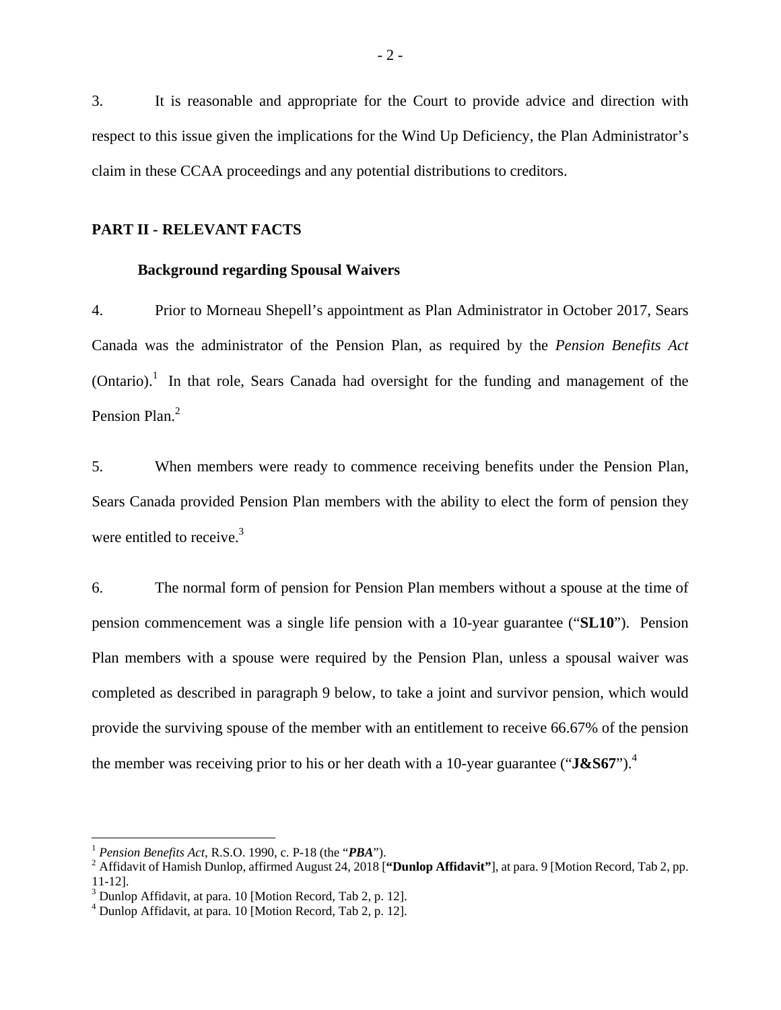3. It is reasonable and appropriate for the Court to provide advice and direction with respect to this issue given the implications for the Wind Up Deficiency, the Plan Administrator's claim in these CCAA proceedings and any potential distributions to creditors.

### **PART II - RELEVANT FACTS**

#### **Background regarding Spousal Waivers**

4. Prior to Morneau Shepell's appointment as Plan Administrator in October 2017, Sears Canada was the administrator of the Pension Plan, as required by the *Pension Benefits Act*  $(Ontario).$ <sup>1</sup> In that role, Sears Canada had oversight for the funding and management of the Pension Plan.<sup>2</sup>

5. When members were ready to commence receiving benefits under the Pension Plan, Sears Canada provided Pension Plan members with the ability to elect the form of pension they were entitled to receive. $3$ 

6. The normal form of pension for Pension Plan members without a spouse at the time of pension commencement was a single life pension with a 10-year guarantee ("**SL10**"). Pension Plan members with a spouse were required by the Pension Plan, unless a spousal waiver was completed as described in paragraph 9 below, to take a joint and survivor pension, which would provide the surviving spouse of the member with an entitlement to receive 66.67% of the pension the member was receiving prior to his or her death with a 10-year guarantee ("**J&S67**").4

1

<sup>1</sup> *Pension Benefits Act,* R.S.O. 1990, c. P-18 (the "*PBA*"). 2

<sup>&</sup>lt;sup>2</sup> Affidavit of Hamish Dunlop, affirmed August 24, 2018 ["Dunlop Affidavit"], at para. 9 [Motion Record, Tab 2, pp. 11-12].

<sup>&</sup>lt;sup>3</sup> Dunlop Affidavit, at para. 10 [Motion Record, Tab 2, p. 12].

<sup>4</sup> Dunlop Affidavit, at para. 10 [Motion Record, Tab 2, p. 12].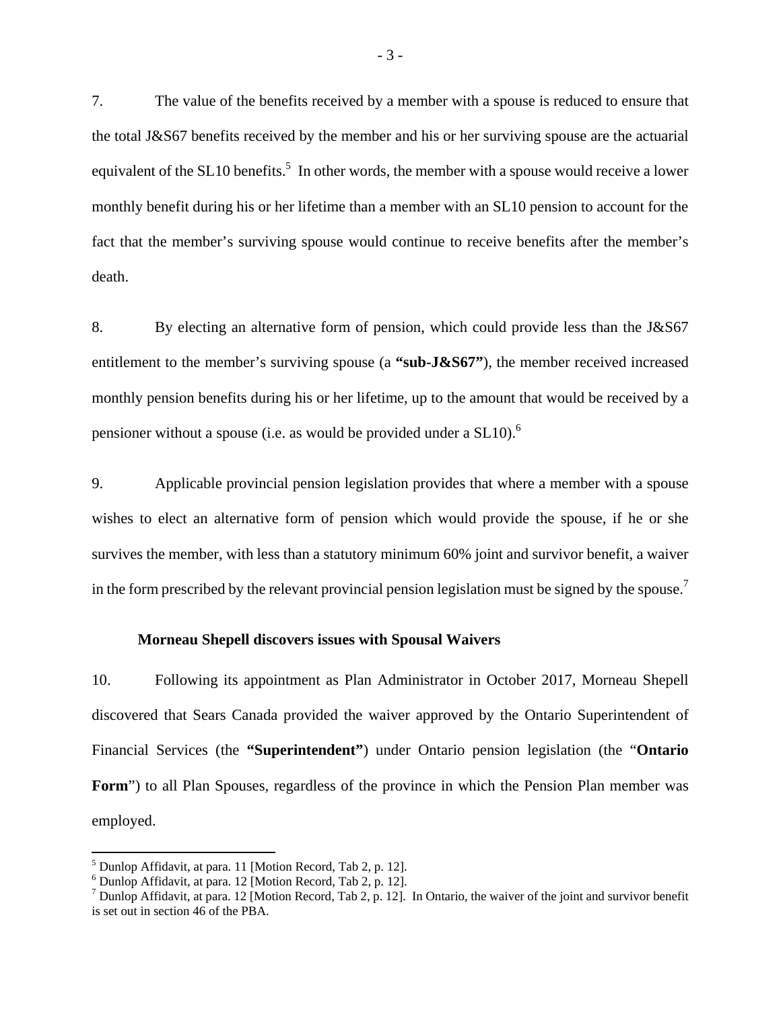7. The value of the benefits received by a member with a spouse is reduced to ensure that the total J&S67 benefits received by the member and his or her surviving spouse are the actuarial equivalent of the SL10 benefits.<sup>5</sup> In other words, the member with a spouse would receive a lower monthly benefit during his or her lifetime than a member with an SL10 pension to account for the fact that the member's surviving spouse would continue to receive benefits after the member's death.

8. By electing an alternative form of pension, which could provide less than the J&S67 entitlement to the member's surviving spouse (a **"sub-J&S67"**), the member received increased monthly pension benefits during his or her lifetime, up to the amount that would be received by a pensioner without a spouse (i.e. as would be provided under a SL10).<sup>6</sup>

9. Applicable provincial pension legislation provides that where a member with a spouse wishes to elect an alternative form of pension which would provide the spouse, if he or she survives the member, with less than a statutory minimum 60% joint and survivor benefit, a waiver in the form prescribed by the relevant provincial pension legislation must be signed by the spouse.<sup>7</sup>

#### **Morneau Shepell discovers issues with Spousal Waivers**

10. Following its appointment as Plan Administrator in October 2017, Morneau Shepell discovered that Sears Canada provided the waiver approved by the Ontario Superintendent of Financial Services (the **"Superintendent"**) under Ontario pension legislation (the "**Ontario**  Form") to all Plan Spouses, regardless of the province in which the Pension Plan member was employed.

<sup>&</sup>lt;sup>5</sup> Dunlop Affidavit, at para. 11 [Motion Record, Tab 2, p. 12].

<sup>6</sup> Dunlop Affidavit, at para. 12 [Motion Record, Tab 2, p. 12].

<sup>&</sup>lt;sup>7</sup> Dunlop Affidavit, at para. 12 [Motion Record, Tab 2, p. 12]. In Ontario, the waiver of the joint and survivor benefit is set out in section 46 of the PBA.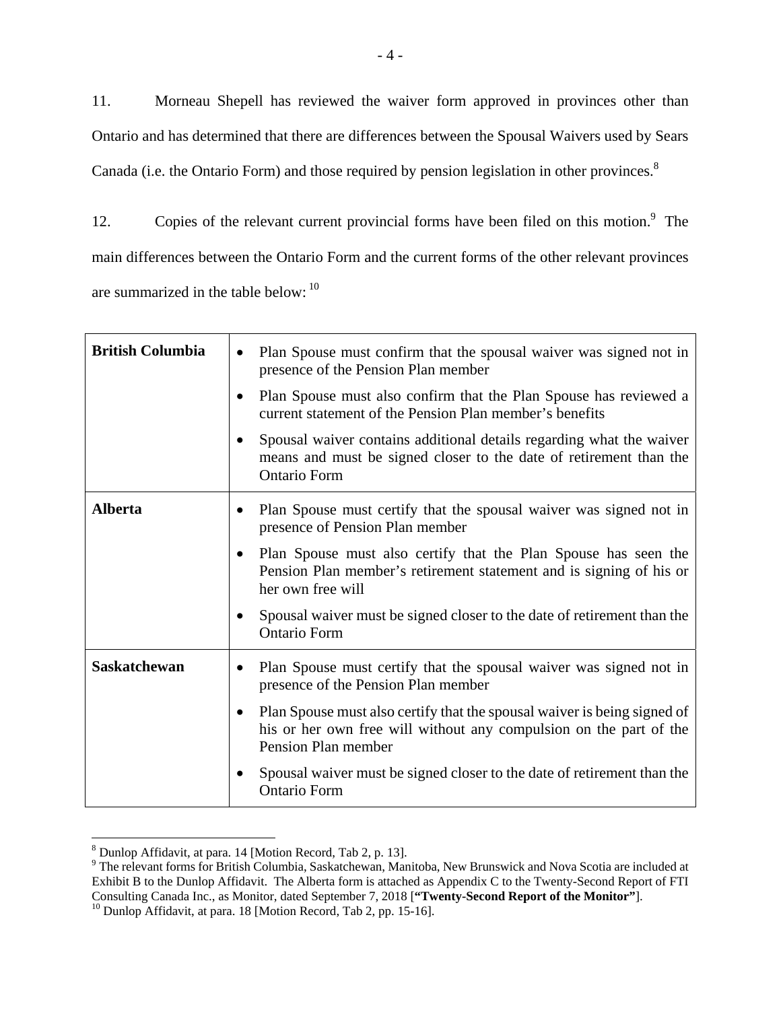11. Morneau Shepell has reviewed the waiver form approved in provinces other than Ontario and has determined that there are differences between the Spousal Waivers used by Sears Canada (i.e. the Ontario Form) and those required by pension legislation in other provinces. $8$ 

12. Copies of the relevant current provincial forms have been filed on this motion.<sup>9</sup> The main differences between the Ontario Form and the current forms of the other relevant provinces are summarized in the table below:  $10$ 

| <b>British Columbia</b> | Plan Spouse must confirm that the spousal waiver was signed not in<br>$\bullet$<br>presence of the Pension Plan member<br>Plan Spouse must also confirm that the Plan Spouse has reviewed a<br>current statement of the Pension Plan member's benefits<br>Spousal waiver contains additional details regarding what the waiver<br>means and must be signed closer to the date of retirement than the<br>Ontario Form |
|-------------------------|----------------------------------------------------------------------------------------------------------------------------------------------------------------------------------------------------------------------------------------------------------------------------------------------------------------------------------------------------------------------------------------------------------------------|
| <b>Alberta</b>          | Plan Spouse must certify that the spousal waiver was signed not in<br>presence of Pension Plan member<br>Plan Spouse must also certify that the Plan Spouse has seen the<br>Pension Plan member's retirement statement and is signing of his or<br>her own free will<br>Spousal waiver must be signed closer to the date of retirement than the<br><b>Ontario Form</b>                                               |
| <b>Saskatchewan</b>     | Plan Spouse must certify that the spousal waiver was signed not in<br>presence of the Pension Plan member<br>Plan Spouse must also certify that the spousal waiver is being signed of<br>his or her own free will without any compulsion on the part of the<br>Pension Plan member<br>Spousal waiver must be signed closer to the date of retirement than the<br><b>Ontario Form</b>                                 |

<sup>8</sup> Dunlop Affidavit, at para. 14 [Motion Record, Tab 2, p. 13].

<sup>&</sup>lt;sup>9</sup> The relevant forms for British Columbia, Saskatchewan, Manitoba, New Brunswick and Nova Scotia are included at Exhibit B to the Dunlop Affidavit. The Alberta form is attached as Appendix C to the Twenty-Second Report of FTI Consulting Canada Inc., as Monitor, dated September 7, 2018 ["**Twenty-Second Report of the Monitor**"].<br><sup>10</sup> Dunlop Affidavit, at para. 18 [Motion Record, Tab 2, pp. 15-16].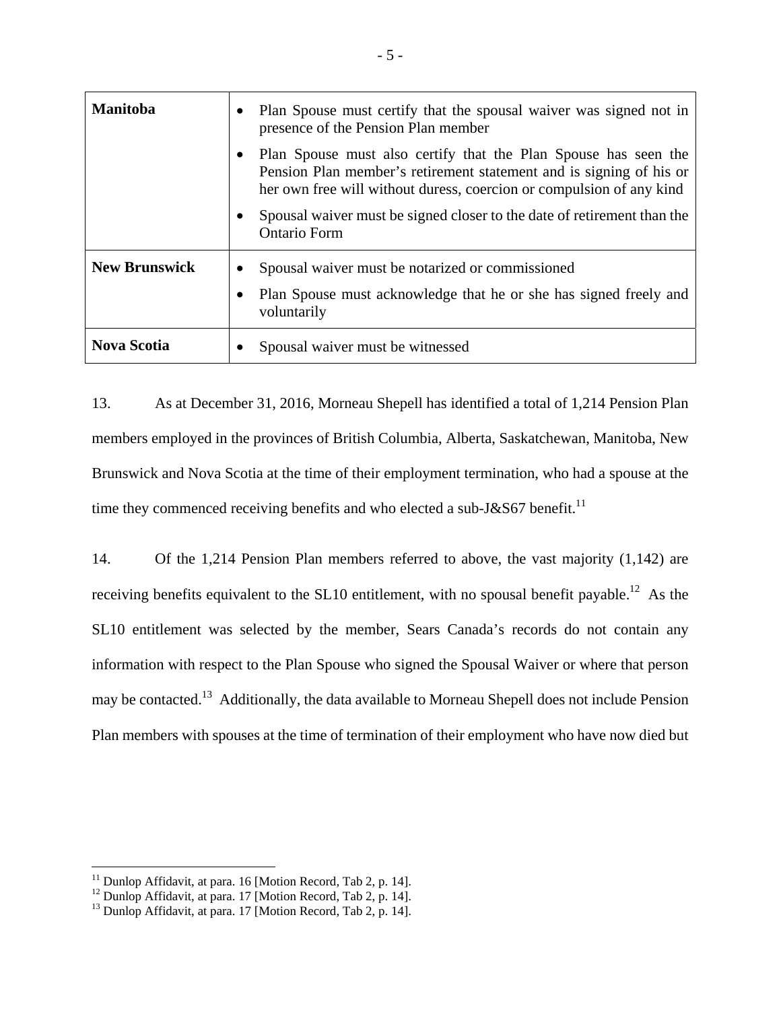| <b>Manitoba</b>      | Plan Spouse must certify that the spousal waiver was signed not in<br>presence of the Pension Plan member                                                                                                      |  |
|----------------------|----------------------------------------------------------------------------------------------------------------------------------------------------------------------------------------------------------------|--|
|                      | Plan Spouse must also certify that the Plan Spouse has seen the<br>Pension Plan member's retirement statement and is signing of his or<br>her own free will without duress, coercion or compulsion of any kind |  |
|                      | Spousal waiver must be signed closer to the date of retirement than the<br><b>Ontario Form</b>                                                                                                                 |  |
| <b>New Brunswick</b> | Spousal waiver must be notarized or commissioned<br>Plan Spouse must acknowledge that he or she has signed freely and<br>voluntarily                                                                           |  |
| <b>Nova Scotia</b>   | Spousal waiver must be witnessed                                                                                                                                                                               |  |

13. As at December 31, 2016, Morneau Shepell has identified a total of 1,214 Pension Plan members employed in the provinces of British Columbia, Alberta, Saskatchewan, Manitoba, New Brunswick and Nova Scotia at the time of their employment termination, who had a spouse at the time they commenced receiving benefits and who elected a sub-J&S67 benefit.<sup>11</sup>

14. Of the 1,214 Pension Plan members referred to above, the vast majority (1,142) are receiving benefits equivalent to the SL10 entitlement, with no spousal benefit payable.<sup>12</sup> As the SL10 entitlement was selected by the member, Sears Canada's records do not contain any information with respect to the Plan Spouse who signed the Spousal Waiver or where that person may be contacted.13 Additionally, the data available to Morneau Shepell does not include Pension Plan members with spouses at the time of termination of their employment who have now died but

 $11$  Dunlop Affidavit, at para. 16 [Motion Record, Tab 2, p. 14].

 $12$  Dunlop Affidavit, at para. 17 [Motion Record, Tab 2, p. 14].

<sup>&</sup>lt;sup>13</sup> Dunlop Affidavit, at para. 17 [Motion Record, Tab 2, p. 14].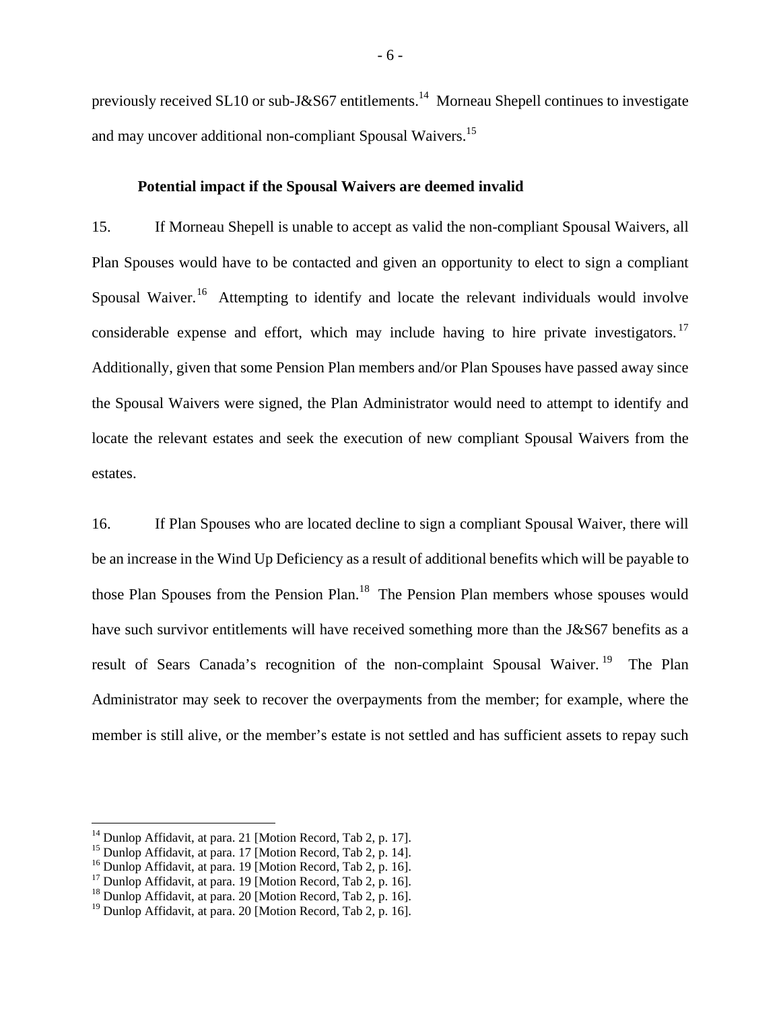previously received SL10 or sub-J&S67 entitlements.<sup>14</sup> Morneau Shepell continues to investigate and may uncover additional non-compliant Spousal Waivers.<sup>15</sup>

#### **Potential impact if the Spousal Waivers are deemed invalid**

15. If Morneau Shepell is unable to accept as valid the non-compliant Spousal Waivers, all Plan Spouses would have to be contacted and given an opportunity to elect to sign a compliant Spousal Waiver.<sup>16</sup> Attempting to identify and locate the relevant individuals would involve considerable expense and effort, which may include having to hire private investigators.  $17$ Additionally, given that some Pension Plan members and/or Plan Spouses have passed away since the Spousal Waivers were signed, the Plan Administrator would need to attempt to identify and locate the relevant estates and seek the execution of new compliant Spousal Waivers from the estates.

16. If Plan Spouses who are located decline to sign a compliant Spousal Waiver, there will be an increase in the Wind Up Deficiency as a result of additional benefits which will be payable to those Plan Spouses from the Pension Plan.<sup>18</sup> The Pension Plan members whose spouses would have such survivor entitlements will have received something more than the J&S67 benefits as a result of Sears Canada's recognition of the non-complaint Spousal Waiver.<sup>19</sup> The Plan Administrator may seek to recover the overpayments from the member; for example, where the member is still alive, or the member's estate is not settled and has sufficient assets to repay such

<sup>&</sup>lt;sup>14</sup> Dunlop Affidavit, at para. 21 [Motion Record, Tab 2, p. 17].

<sup>&</sup>lt;sup>15</sup> Dunlop Affidavit, at para. 17 [Motion Record, Tab 2, p. 14].

<sup>&</sup>lt;sup>16</sup> Dunlop Affidavit, at para. 19 [Motion Record, Tab 2, p. 16].

<sup>&</sup>lt;sup>17</sup> Dunlop Affidavit, at para. 19 [Motion Record, Tab 2, p. 16].

<sup>&</sup>lt;sup>18</sup> Dunlop Affidavit, at para. 20 [Motion Record, Tab 2, p. 16].

<sup>19</sup> Dunlop Affidavit, at para. 20 [Motion Record, Tab 2, p. 16].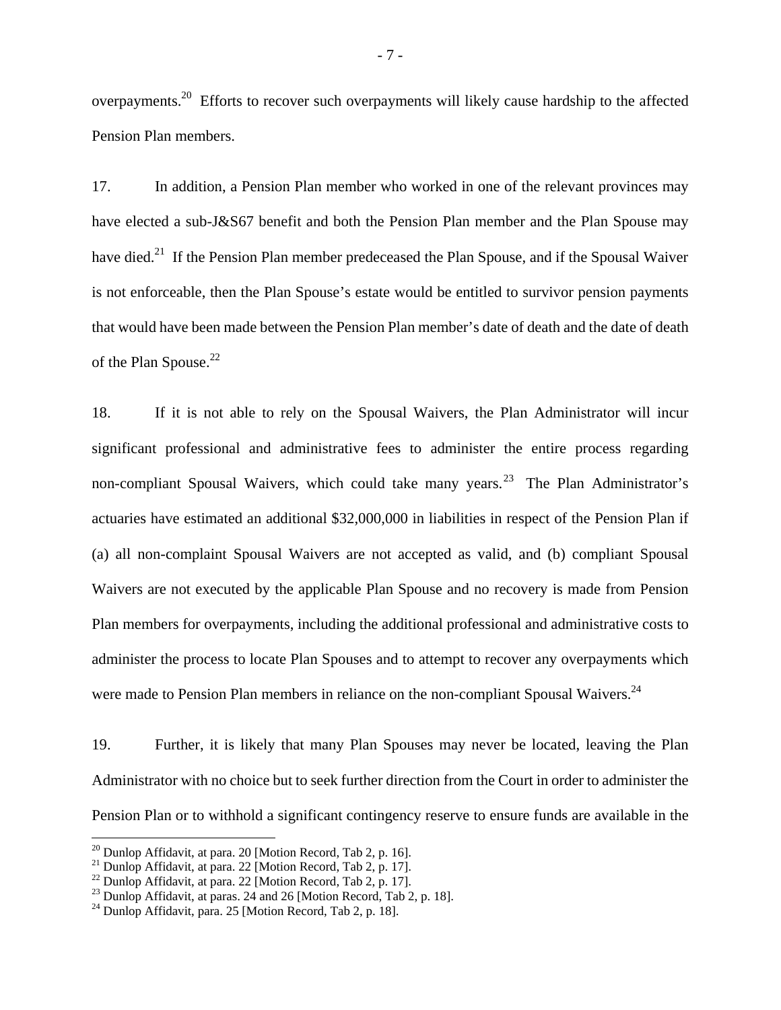overpayments.20 Efforts to recover such overpayments will likely cause hardship to the affected Pension Plan members.

17. In addition, a Pension Plan member who worked in one of the relevant provinces may have elected a sub-J&S67 benefit and both the Pension Plan member and the Plan Spouse may have died.<sup>21</sup> If the Pension Plan member predeceased the Plan Spouse, and if the Spousal Waiver is not enforceable, then the Plan Spouse's estate would be entitled to survivor pension payments that would have been made between the Pension Plan member's date of death and the date of death of the Plan Spouse.<sup>22</sup>

18. If it is not able to rely on the Spousal Waivers, the Plan Administrator will incur significant professional and administrative fees to administer the entire process regarding non-compliant Spousal Waivers, which could take many years.<sup>23</sup> The Plan Administrator's actuaries have estimated an additional \$32,000,000 in liabilities in respect of the Pension Plan if (a) all non-complaint Spousal Waivers are not accepted as valid, and (b) compliant Spousal Waivers are not executed by the applicable Plan Spouse and no recovery is made from Pension Plan members for overpayments, including the additional professional and administrative costs to administer the process to locate Plan Spouses and to attempt to recover any overpayments which were made to Pension Plan members in reliance on the non-compliant Spousal Waivers.<sup>24</sup>

19. Further, it is likely that many Plan Spouses may never be located, leaving the Plan Administrator with no choice but to seek further direction from the Court in order to administer the Pension Plan or to withhold a significant contingency reserve to ensure funds are available in the

<sup>&</sup>lt;sup>20</sup> Dunlop Affidavit, at para. 20 [Motion Record, Tab 2, p. 16].

<sup>&</sup>lt;sup>21</sup> Dunlop Affidavit, at para. 22 [Motion Record, Tab 2, p. 17].

<sup>&</sup>lt;sup>22</sup> Dunlop Affidavit, at para. 22 [Motion Record, Tab 2, p. 17].

<sup>&</sup>lt;sup>23</sup> Dunlop Affidavit, at paras. 24 and 26 [Motion Record, Tab 2, p. 18].

 $^{24}$  Dunlop Affidavit, para. 25 [Motion Record, Tab 2, p. 18].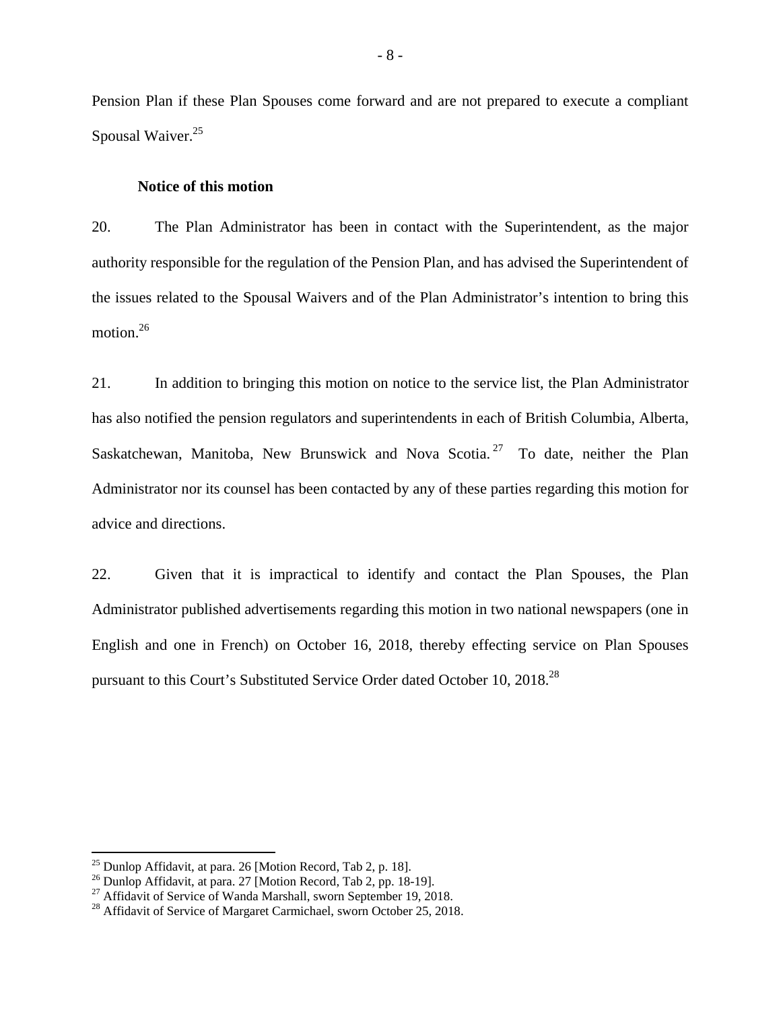Pension Plan if these Plan Spouses come forward and are not prepared to execute a compliant Spousal Waiver.<sup>25</sup>

#### **Notice of this motion**

20. The Plan Administrator has been in contact with the Superintendent, as the major authority responsible for the regulation of the Pension Plan, and has advised the Superintendent of the issues related to the Spousal Waivers and of the Plan Administrator's intention to bring this motion.<sup>26</sup>

21. In addition to bringing this motion on notice to the service list, the Plan Administrator has also notified the pension regulators and superintendents in each of British Columbia, Alberta, Saskatchewan, Manitoba, New Brunswick and Nova Scotia.<sup>27</sup> To date, neither the Plan Administrator nor its counsel has been contacted by any of these parties regarding this motion for advice and directions.

22. Given that it is impractical to identify and contact the Plan Spouses, the Plan Administrator published advertisements regarding this motion in two national newspapers (one in English and one in French) on October 16, 2018, thereby effecting service on Plan Spouses pursuant to this Court's Substituted Service Order dated October 10, 2018.28

<sup>&</sup>lt;sup>25</sup> Dunlop Affidavit, at para. 26 [Motion Record, Tab 2, p. 18].

 $^{26}$  Dunlop Affidavit, at para. 27 [Motion Record, Tab 2, pp. 18-19].

<sup>&</sup>lt;sup>27</sup> Affidavit of Service of Wanda Marshall, sworn September 19, 2018.

<sup>&</sup>lt;sup>28</sup> Affidavit of Service of Margaret Carmichael, sworn October 25, 2018.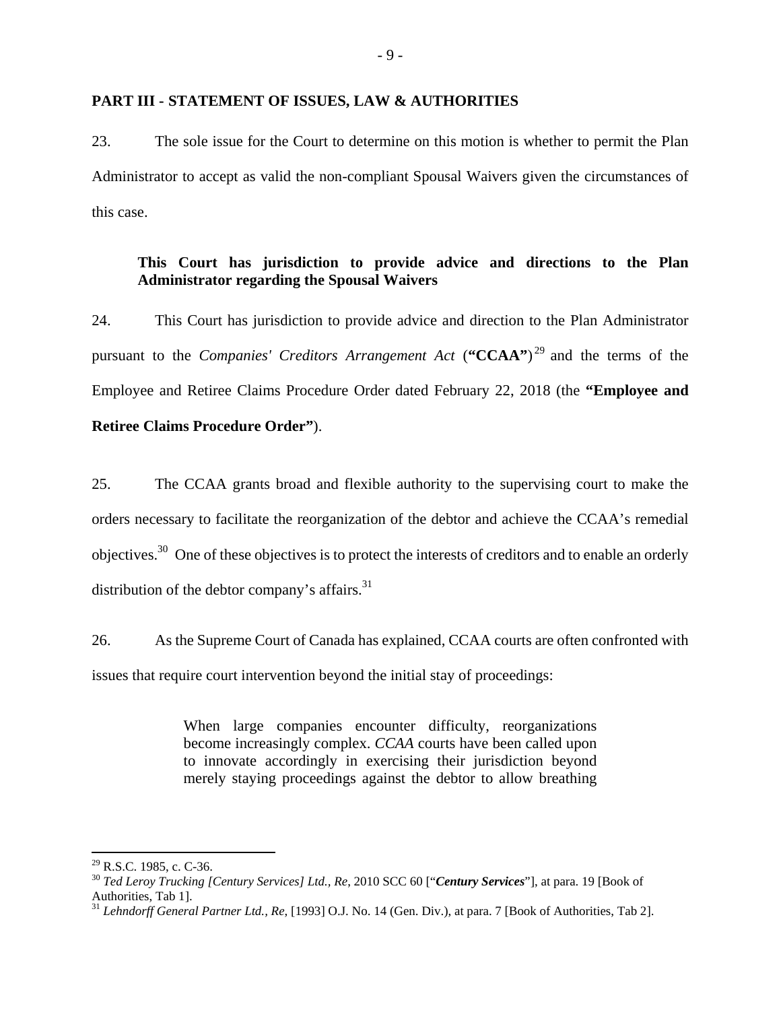#### **PART III - STATEMENT OF ISSUES, LAW & AUTHORITIES**

23. The sole issue for the Court to determine on this motion is whether to permit the Plan Administrator to accept as valid the non-compliant Spousal Waivers given the circumstances of this case.

### **This Court has jurisdiction to provide advice and directions to the Plan Administrator regarding the Spousal Waivers**

24. This Court has jurisdiction to provide advice and direction to the Plan Administrator pursuant to the *Companies' Creditors Arrangement Act* (**"CCAA"**) 29 and the terms of the Employee and Retiree Claims Procedure Order dated February 22, 2018 (the **"Employee and Retiree Claims Procedure Order"**).

25. The CCAA grants broad and flexible authority to the supervising court to make the orders necessary to facilitate the reorganization of the debtor and achieve the CCAA's remedial objectives.30 One of these objectives is to protect the interests of creditors and to enable an orderly distribution of the debtor company's affairs. $31$ 

26. As the Supreme Court of Canada has explained, CCAA courts are often confronted with issues that require court intervention beyond the initial stay of proceedings:

> When large companies encounter difficulty, reorganizations become increasingly complex. *CCAA* courts have been called upon to innovate accordingly in exercising their jurisdiction beyond merely staying proceedings against the debtor to allow breathing

 $^{29}$  R.S.C. 1985, c. C-36.

<sup>30</sup> *Ted Leroy Trucking [Century Services] Ltd., Re*, 2010 SCC 60 ["*Century Services*"], at para. 19 [Book of Authorities, Tab 1].

<sup>31</sup> *Lehndorff General Partner Ltd., Re*, [1993] O.J. No. 14 (Gen. Div.), at para. 7 [Book of Authorities, Tab 2].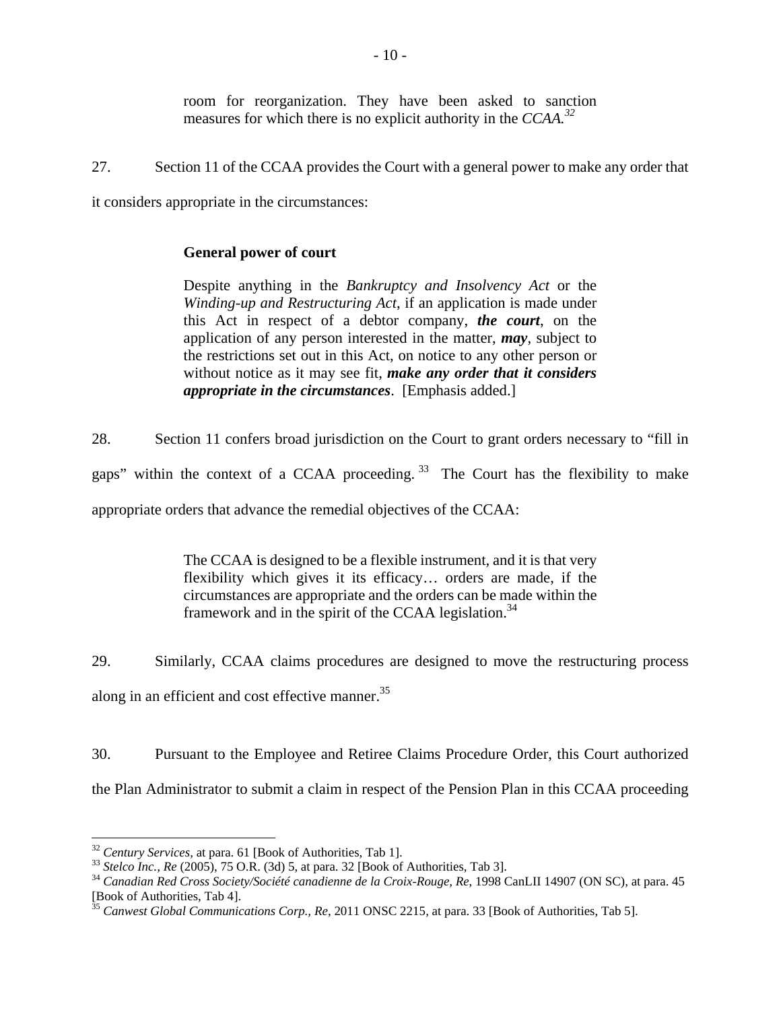room for reorganization. They have been asked to sanction measures for which there is no explicit authority in the *CCAA.32*

27. Section 11 of the CCAA provides the Court with a general power to make any order that it considers appropriate in the circumstances:

# **General power of court**

Despite anything in the *Bankruptcy and Insolvency Act* or the *Winding-up and Restructuring Act*, if an application is made under this Act in respect of a debtor company, *the court*, on the application of any person interested in the matter, *may*, subject to the restrictions set out in this Act, on notice to any other person or without notice as it may see fit, *make any order that it considers appropriate in the circumstances*. [Emphasis added.]

28. Section 11 confers broad jurisdiction on the Court to grant orders necessary to "fill in gaps" within the context of a CCAA proceeding.  $33$  The Court has the flexibility to make appropriate orders that advance the remedial objectives of the CCAA:

> The CCAA is designed to be a flexible instrument, and it is that very flexibility which gives it its efficacy… orders are made, if the circumstances are appropriate and the orders can be made within the framework and in the spirit of the CCAA legislation.<sup>34</sup>

29. Similarly, CCAA claims procedures are designed to move the restructuring process along in an efficient and cost effective manner.<sup>35</sup>

30. Pursuant to the Employee and Retiree Claims Procedure Order, this Court authorized the Plan Administrator to submit a claim in respect of the Pension Plan in this CCAA proceeding

<sup>&</sup>lt;sup>32</sup> Century Services, at para. 61 [Book of Authorities, Tab 1].<br><sup>33</sup> Stelco Inc., Re (2005), 75 O.R. (3d) 5, at para. 32 [Book of Authorities, Tab 3].<br><sup>34</sup> Canadian Red Cross Society/Société canadienne de la Croix-Rouge, [Book of Authorities, Tab 4].

<sup>35</sup> *Canwest Global Communications Corp., Re*, 2011 ONSC 2215*,* at para. 33 [Book of Authorities, Tab 5].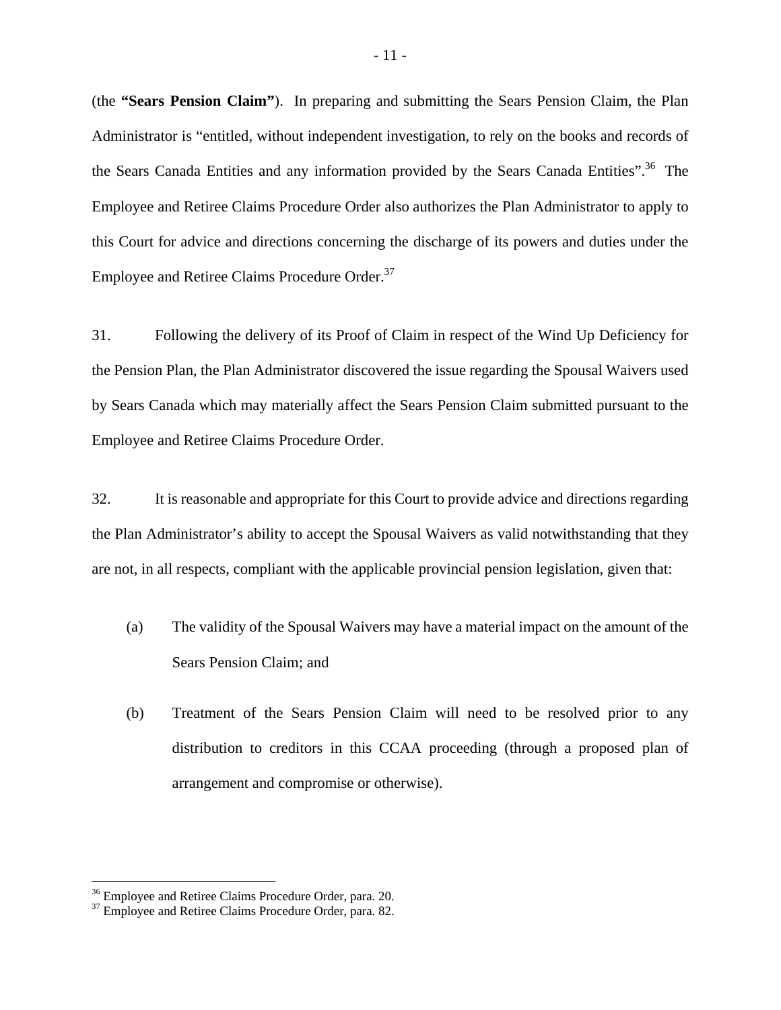(the **"Sears Pension Claim"**). In preparing and submitting the Sears Pension Claim, the Plan Administrator is "entitled, without independent investigation, to rely on the books and records of the Sears Canada Entities and any information provided by the Sears Canada Entities".<sup>36</sup> The Employee and Retiree Claims Procedure Order also authorizes the Plan Administrator to apply to this Court for advice and directions concerning the discharge of its powers and duties under the Employee and Retiree Claims Procedure Order.<sup>37</sup>

31. Following the delivery of its Proof of Claim in respect of the Wind Up Deficiency for the Pension Plan, the Plan Administrator discovered the issue regarding the Spousal Waivers used by Sears Canada which may materially affect the Sears Pension Claim submitted pursuant to the Employee and Retiree Claims Procedure Order.

32. It is reasonable and appropriate for this Court to provide advice and directions regarding the Plan Administrator's ability to accept the Spousal Waivers as valid notwithstanding that they are not, in all respects, compliant with the applicable provincial pension legislation, given that:

- (a) The validity of the Spousal Waivers may have a material impact on the amount of the Sears Pension Claim; and
- (b) Treatment of the Sears Pension Claim will need to be resolved prior to any distribution to creditors in this CCAA proceeding (through a proposed plan of arrangement and compromise or otherwise).

 $36$  Employee and Retiree Claims Procedure Order, para. 20.  $37$  Employee and Retiree Claims Procedure Order, para. 82.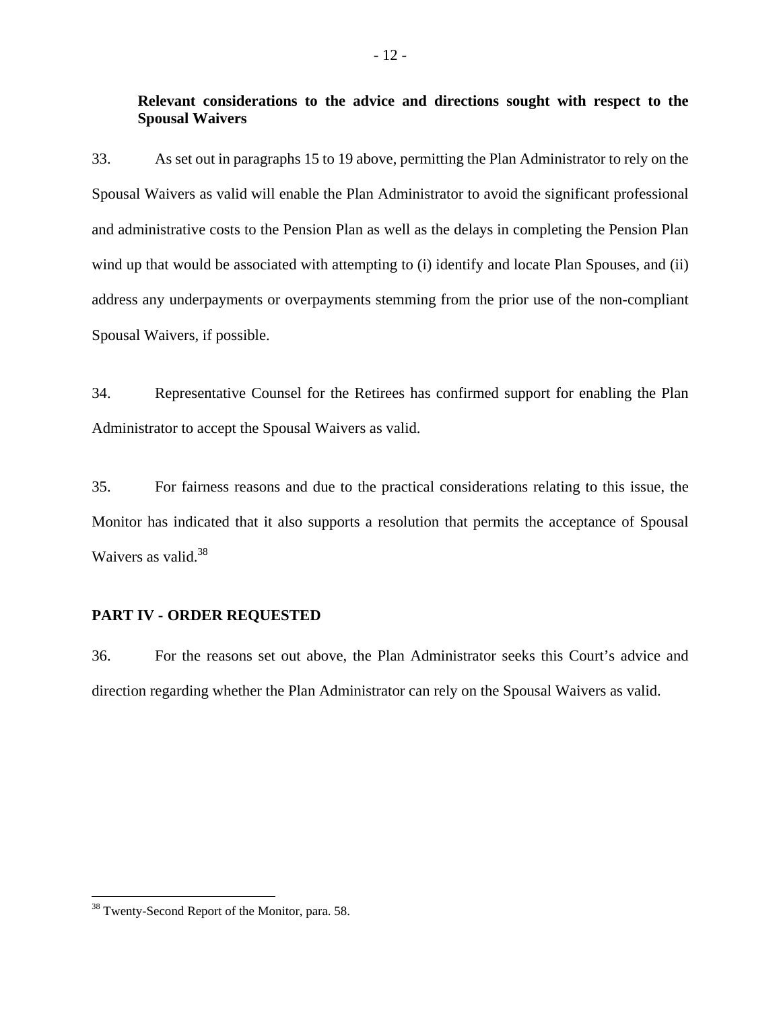# **Relevant considerations to the advice and directions sought with respect to the Spousal Waivers**

33. As set out in paragraphs 15 to 19 above, permitting the Plan Administrator to rely on the Spousal Waivers as valid will enable the Plan Administrator to avoid the significant professional and administrative costs to the Pension Plan as well as the delays in completing the Pension Plan wind up that would be associated with attempting to (i) identify and locate Plan Spouses, and (ii) address any underpayments or overpayments stemming from the prior use of the non-compliant Spousal Waivers, if possible.

34. Representative Counsel for the Retirees has confirmed support for enabling the Plan Administrator to accept the Spousal Waivers as valid.

35. For fairness reasons and due to the practical considerations relating to this issue, the Monitor has indicated that it also supports a resolution that permits the acceptance of Spousal Waivers as valid. $38$ 

### **PART IV - ORDER REQUESTED**

36. For the reasons set out above, the Plan Administrator seeks this Court's advice and direction regarding whether the Plan Administrator can rely on the Spousal Waivers as valid.

<sup>&</sup>lt;sup>38</sup> Twenty-Second Report of the Monitor, para. 58.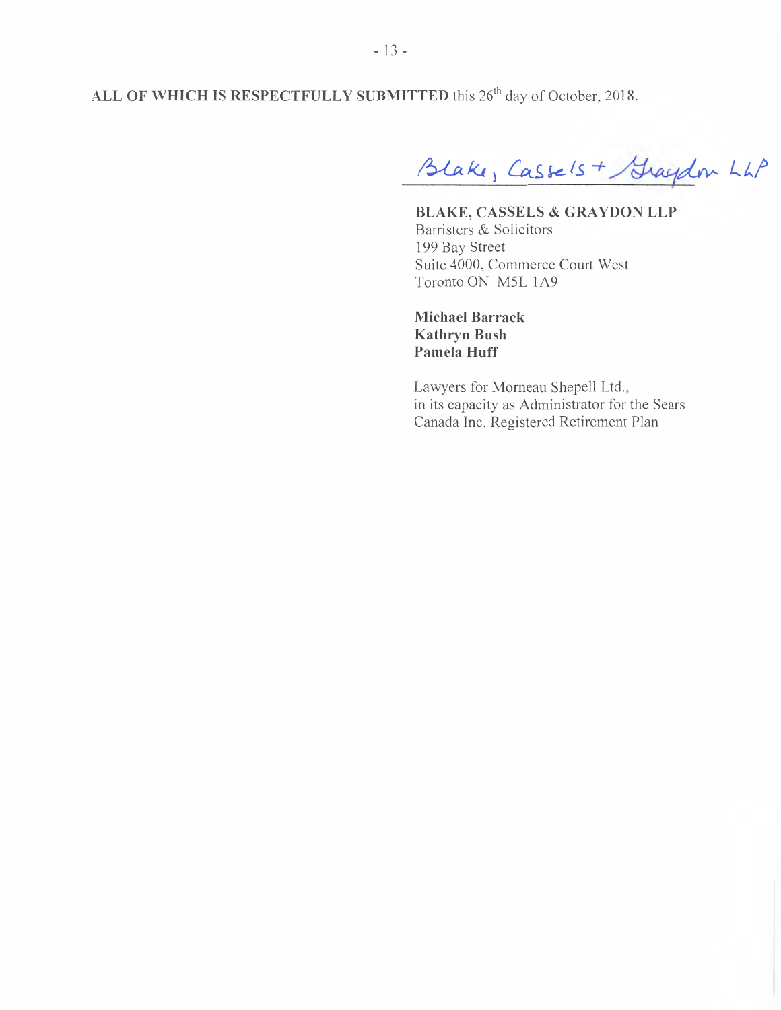ALL OF WHICH IS RESPECTFULLY SUBMITTED this 26<sup>th</sup> day of October, 2018.

Blake, Cassels + Graydon LLP

**BLAKE, CASSELS & GRAYDON LLP Barristers & Solicitors 199 Bay Street Suite 4000, Commerce Court West Toronto ON M5L 1A9** 

**Michael Barrack Kathryn Bush Pamela Huff** 

Lawyers for Morneau Shepell Ltd., in its capacity as Administrator for the Sears Canada Inc. Registered Retirement Plan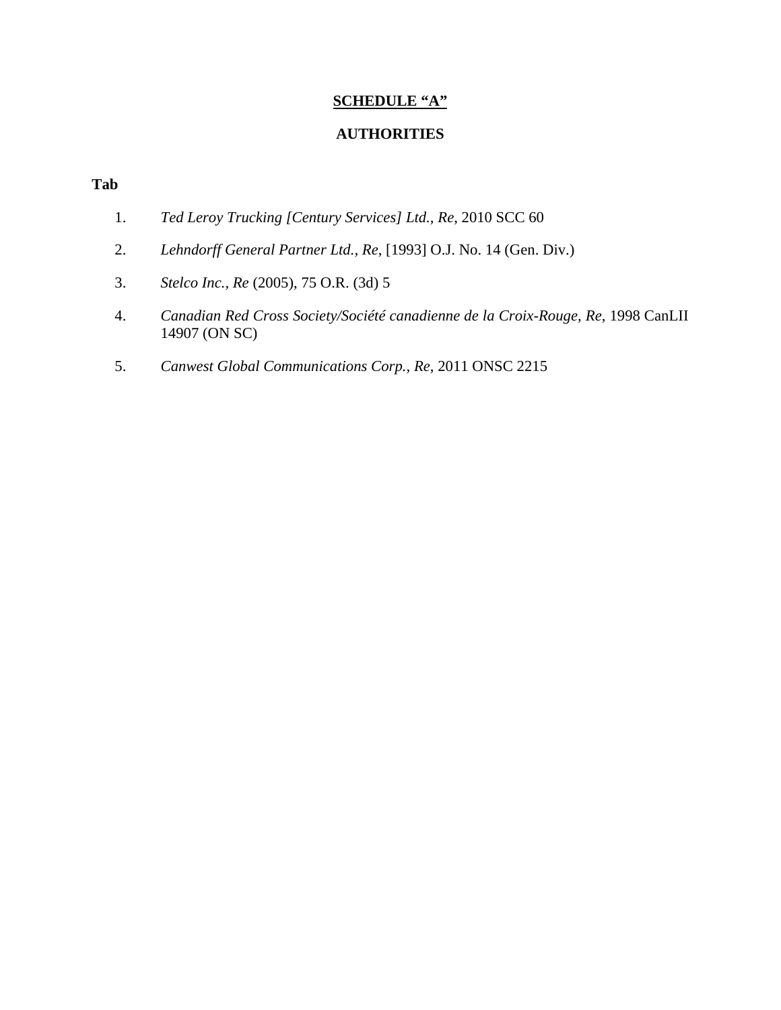# **SCHEDULE "A"**

### **AUTHORITIES**

# **Tab**

- 1. *Ted Leroy Trucking [Century Services] Ltd., Re*, 2010 SCC 60
- 2. *Lehndorff General Partner Ltd., Re*, [1993] O.J. No. 14 (Gen. Div.)
- 3. *Stelco Inc., Re* (2005), 75 O.R. (3d) 5
- 4. *Canadian Red Cross Society/Société canadienne de la Croix-Rouge, Re*, 1998 CanLII 14907 (ON SC)
- 5. *Canwest Global Communications Corp., Re*, 2011 ONSC 2215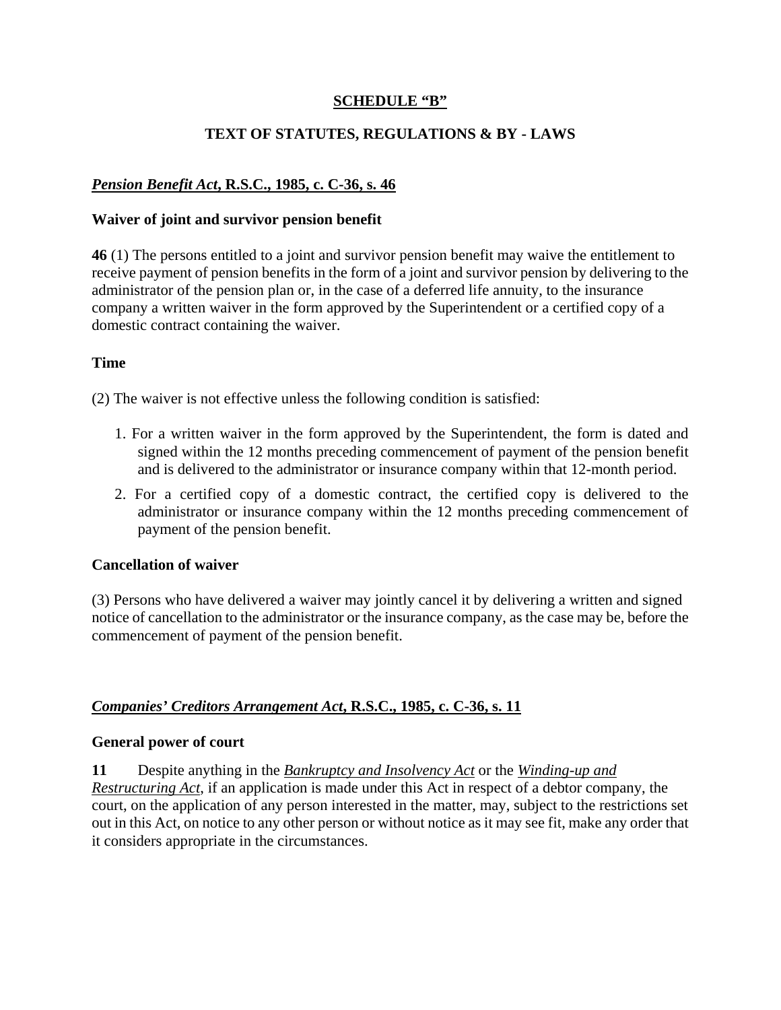# **SCHEDULE "B"**

# **TEXT OF STATUTES, REGULATIONS & BY - LAWS**

# *Pension Benefit Act***, R.S.C., 1985, c. C-36, s. 46**

### **Waiver of joint and survivor pension benefit**

**46** (1) The persons entitled to a joint and survivor pension benefit may waive the entitlement to receive payment of pension benefits in the form of a joint and survivor pension by delivering to the administrator of the pension plan or, in the case of a deferred life annuity, to the insurance company a written waiver in the form approved by the Superintendent or a certified copy of a domestic contract containing the waiver.

### **Time**

(2) The waiver is not effective unless the following condition is satisfied:

- 1. For a written waiver in the form approved by the Superintendent, the form is dated and signed within the 12 months preceding commencement of payment of the pension benefit and is delivered to the administrator or insurance company within that 12-month period.
- 2. For a certified copy of a domestic contract, the certified copy is delivered to the administrator or insurance company within the 12 months preceding commencement of payment of the pension benefit.

### **Cancellation of waiver**

(3) Persons who have delivered a waiver may jointly cancel it by delivering a written and signed notice of cancellation to the administrator or the insurance company, as the case may be, before the commencement of payment of the pension benefit.

### *Companies' Creditors Arrangement Act***, R.S.C., 1985, c. C-36, s. 11**

### **General power of court**

**11** Despite anything in the *Bankruptcy and Insolvency Act* or the *Winding-up and Restructuring Act*, if an application is made under this Act in respect of a debtor company, the court, on the application of any person interested in the matter, may, subject to the restrictions set out in this Act, on notice to any other person or without notice as it may see fit, make any order that

it considers appropriate in the circumstances.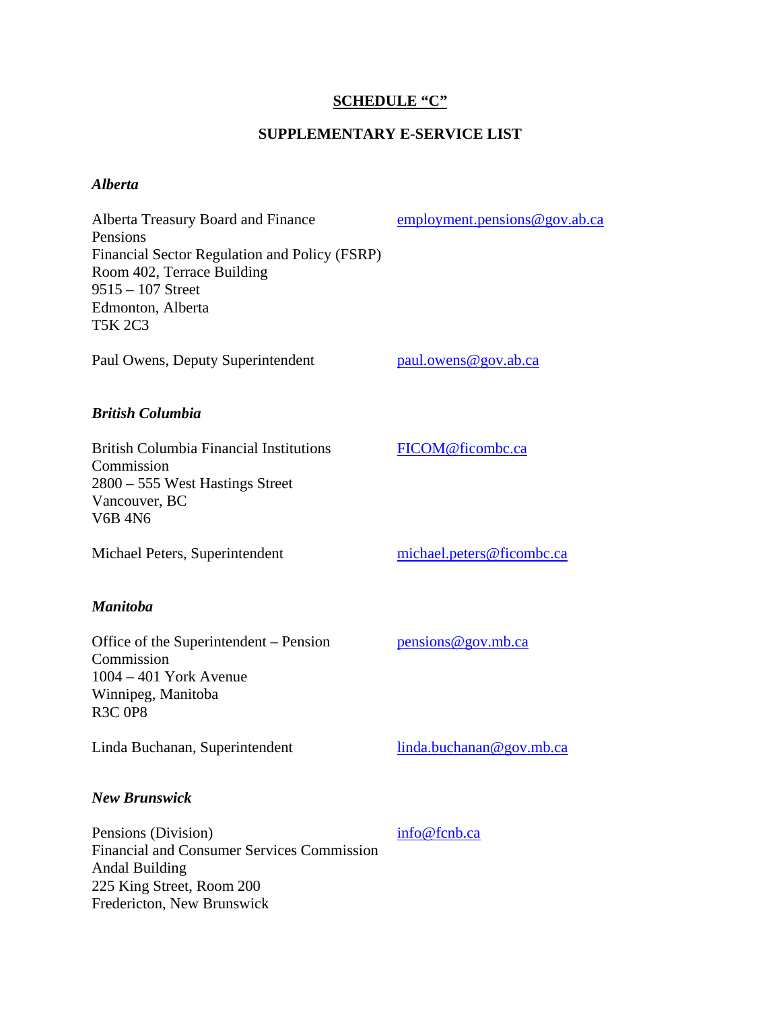# **SCHEDULE "C"**

# **SUPPLEMENTARY E-SERVICE LIST**

# *Alberta*

Fredericton, New Brunswick

| Alberta Treasury Board and Finance<br>Pensions<br>Financial Sector Regulation and Policy (FSRP)<br>Room 402, Terrace Building<br>$9515 - 107$ Street<br>Edmonton, Alberta<br><b>T5K 2C3</b> | employment.pensions@gov.ab.ca |
|---------------------------------------------------------------------------------------------------------------------------------------------------------------------------------------------|-------------------------------|
| Paul Owens, Deputy Superintendent                                                                                                                                                           | paul.owens@gov.ab.ca          |
| <b>British Columbia</b>                                                                                                                                                                     |                               |
| <b>British Columbia Financial Institutions</b><br>Commission<br>2800 – 555 West Hastings Street<br>Vancouver, BC<br><b>V6B 4N6</b>                                                          | FICOM@ficombc.ca              |
| Michael Peters, Superintendent                                                                                                                                                              | michael.peters@ficombc.ca     |
| <b>Manitoba</b>                                                                                                                                                                             |                               |
| Office of the Superintendent – Pension<br>Commission<br>$1004 - 401$ York Avenue<br>Winnipeg, Manitoba<br><b>R3C 0P8</b>                                                                    | pensions@gov.mb.ca            |
| Linda Buchanan, Superintendent                                                                                                                                                              | linda.buchanan@gov.mb.ca      |
| <b>New Brunswick</b>                                                                                                                                                                        |                               |
| Pensions (Division)<br><b>Financial and Consumer Services Commission</b><br><b>Andal Building</b><br>225 King Street, Room 200                                                              | info@fcnb.ca                  |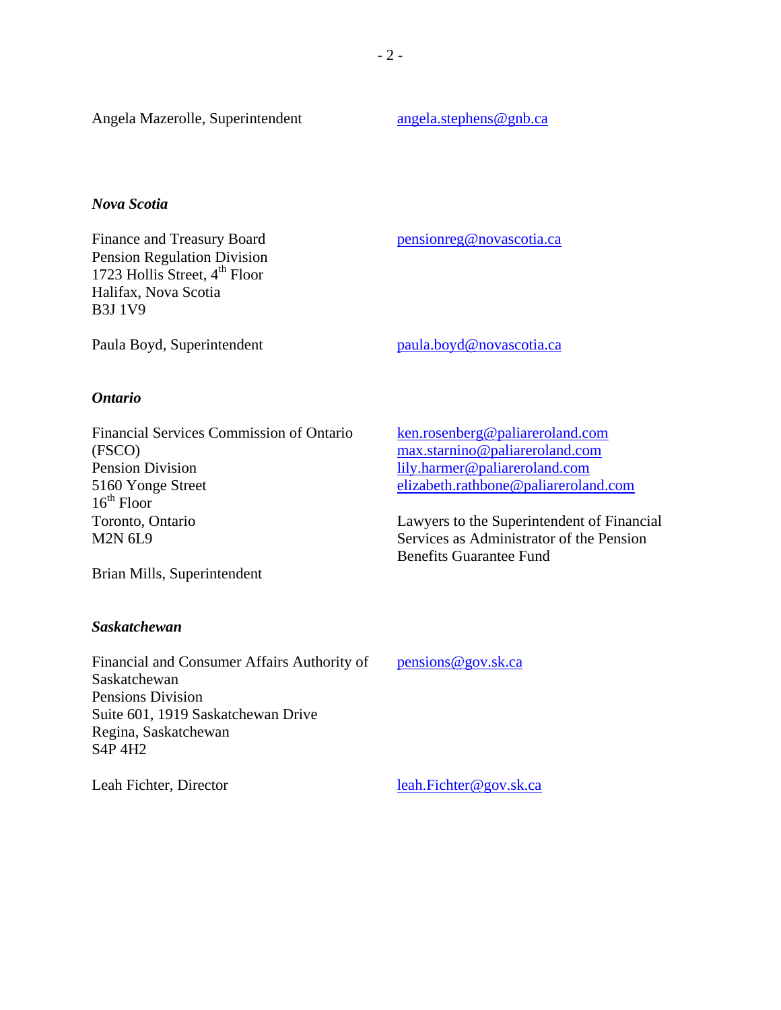### *Nova Scotia*

Finance and Treasury Board Pension Regulation Division 1723 Hollis Street,  $4^{th}$  Floor Halifax, Nova Scotia B3J 1V9

pensionreg@novascotia.ca

Paula Boyd, Superintendent paula.boyd@novascotia.ca

### *Ontario*

Financial Services Commission of Ontario (FSCO) Pension Division 5160 Yonge Street  $16<sup>th</sup>$  Floor Toronto, Ontario M2N 6L9

Brian Mills, Superintendent

### *Saskatchewan*

Financial and Consumer Affairs Authority of Saskatchewan Pensions Division Suite 601, 1919 Saskatchewan Drive Regina, Saskatchewan S4P 4H2

ken.rosenberg@paliareroland.com max.starnino@paliareroland.com lily.harmer@paliareroland.com elizabeth.rathbone@paliareroland.com

Lawyers to the Superintendent of Financial Services as Administrator of the Pension Benefits Guarantee Fund

pensions@gov.sk.ca

Leah Fichter, Director leah.Fichter@gov.sk.ca